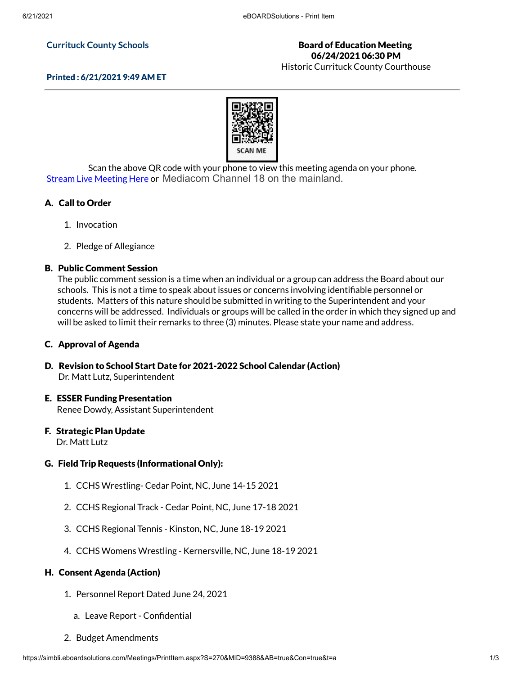#### **Currituck County Schools**

## Board of Education Meeting 06/24/2021 06:30 PM

Historic Currituck County Courthouse



Scan the above QR code with your phone to view this meeting agenda on your phone. Stream Live [Meeting](http://currituckcountync.iqm2.com/Citizens/default.aspx) Here or Mediacom Channel 18 on the mainland.

## A. Call to Order

- 1. Invocation
- 2. Pledge of Allegiance

### B. Public Comment Session

The public comment session is a time when an individual or a group can address the Board about our schools. This is not a time to speak about issues or concerns involving identifiable personnel or students. Matters of this nature should be submitted in writing to the Superintendent and your concerns will be addressed. Individuals or groups will be called in the order in which they signed up and will be asked to limit their remarks to three (3) minutes. Please state your name and address.

### C. Approval of Agenda

D. Revision to School Start Date for 2021-2022 School Calendar (Action) Dr. Matt Lutz, Superintendent

#### E. ESSER Funding Presentation

Renee Dowdy, Assistant Superintendent

#### F. Strategic Plan Update

Dr. Matt Lutz

### G. Field Trip Requests (Informational Only):

- 1. CCHS Wrestling- Cedar Point, NC, June 14-15 2021
- 2. CCHS Regional Track Cedar Point, NC, June 17-18 2021
- 3. CCHS Regional Tennis Kinston, NC, June 18-19 2021
- 4. CCHS Womens Wrestling Kernersville, NC, June 18-19 2021

### H. Consent Agenda (Action)

- 1. Personnel Report Dated June 24, 2021
	- a. Leave Report Confidential
- 2. Budget Amendments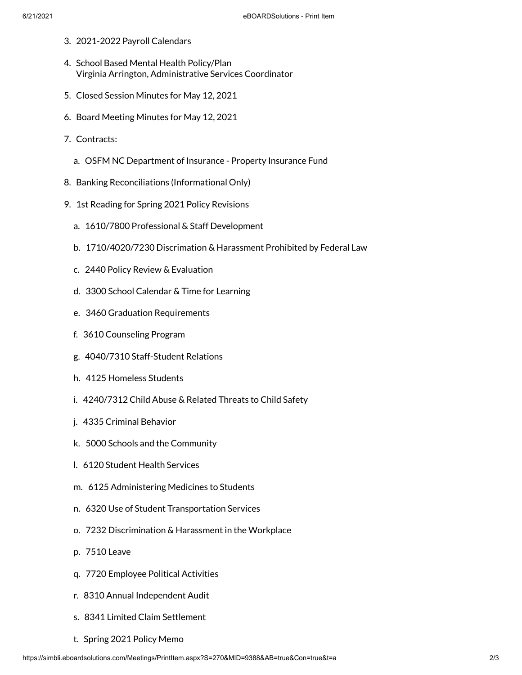- 3. 2021-2022 Payroll Calendars
- 4. School Based Mental Health Policy/Plan Virginia Arrington, Administrative Services Coordinator
- 5. Closed Session Minutes for May 12, 2021
- 6. Board Meeting Minutes for May 12, 2021
- 7. Contracts:
	- a. OSFM NC Department of Insurance Property Insurance Fund
- 8. Banking Reconciliations (Informational Only)
- 9. 1st Reading for Spring 2021 Policy Revisions
	- a. 1610/7800 Professional & Staff Development
	- b. 1710/4020/7230 Discrimation & Harassment Prohibited by Federal Law
	- c. 2440 Policy Review & Evaluation
	- d. 3300 School Calendar & Time for Learning
	- e. 3460 Graduation Requirements
	- f. 3610 Counseling Program
	- g. 4040/7310 Staff-Student Relations
	- h. 4125 Homeless Students
	- i. 4240/7312 Child Abuse & Related Threats to Child Safety
	- j. 4335 Criminal Behavior
	- k. 5000 Schools and the Community
	- l. 6120 Student Health Services
	- m. 6125 Administering Medicines to Students
	- n. 6320 Use of Student Transportation Services
	- o. 7232 Discrimination & Harassment in the Workplace
	- p. 7510 Leave
	- q. 7720 Employee Political Activities
	- r. 8310 Annual Independent Audit
	- s. 8341 Limited Claim Settlement
	- t. Spring 2021 Policy Memo